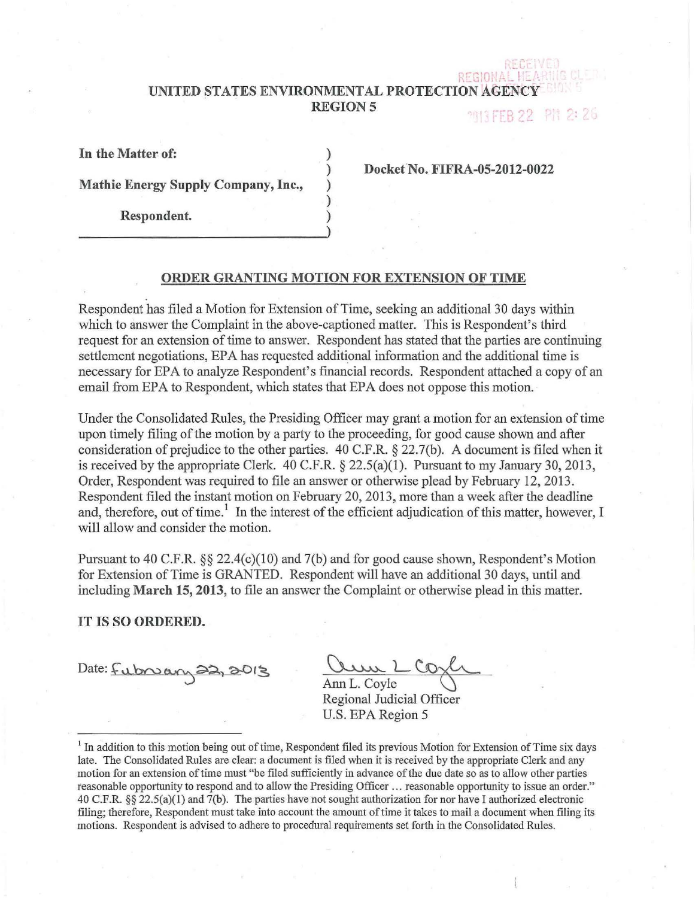# UNITED STATES ENVIRONMENTAL PROTECTION AGENCY **REGION 5**

**MITTER 22** PM 2:26

 $\cdot$  C I

|  |  | In the Matter of: |  |  |
|--|--|-------------------|--|--|
|--|--|-------------------|--|--|

Mathie Energy Supply Company, Inc.,

Respondent.

Docket No. FIFRA-05-2012-0022

## ORDER GRANTING MOTION FOR EXTENSION OF TIME

) ) ) ) )

Respondent has filed a Motion for Extension of Time, seeking an additional 30 days within which to answer the Complaint in the above-captioned matter. This is Respondent's third request for an extension of time to answer. Respondent has stated that the parties are continuing settlement negotiations, EPA has requested additional information and the additional time is necessary for EPA to analyze Respondent's financial records. Respondent attached a copy of an email from EPA to Respondent, which states that EPA does not oppose this motion.

Under the Consolidated Rules, the Presiding Officer may grant a motion for an extension of time upon timely filing of the motion by a party to the proceeding, for good cause shown and after consideration of prejudice to the other parties. 40 C.P.R. § 22.7(b). A document is filed when it is received by the appropriate Clerk.  $40$  C.F.R. § 22.5(a)(1). Pursuant to my January 30, 2013, Order, Respondent was required to file an answer or otherwise plead by February 12, 2013. Respondent filed the instant motion on February 20, 2013, more than a week after the deadline and, therefore, out of time.<sup>1</sup> In the interest of the efficient adjudication of this matter, however, I will allow and consider the motion.

Pursuant to 40 C.F.R. §§ 22.4(c)(10) and 7(b) and for good cause shown, Respondent's Motion for Extension of Time is GRANTED. Respondent will have an additional 30 days, until and including March 15, 2013, to file an answer the Complaint or otherwise plead in this matter.

## IT IS SO ORDERED.

Date: Fubruary 22, 2013

Ann L. Coyle<br>Regional Judicial Officer U.S. EPA Region 5

 $<sup>1</sup>$  In addition to this motion being out of time, Respondent filed its previous Motion for Extension of Time six days</sup> late. The Consolidated Rules are clear: a document is filed when it is received by the appropriate Clerk and any motion for an extension of time must "be filed sufficiently in advance of the due date so as to allow other parties reasonable opportunity to respond and to allow the Presiding Officer ... reasonable opportunity to issue an order." 40 C.F.R. §§ 22.5(a)(l) and 7(b). The patties have not sought authorization for nor have I authorized electronic filing; therefore, Respondent must take into account the amount oftime it takes to mail a document when filing its motions. Respondent is advised to adhere to procedural requirements set forth in the Consolidated Rules.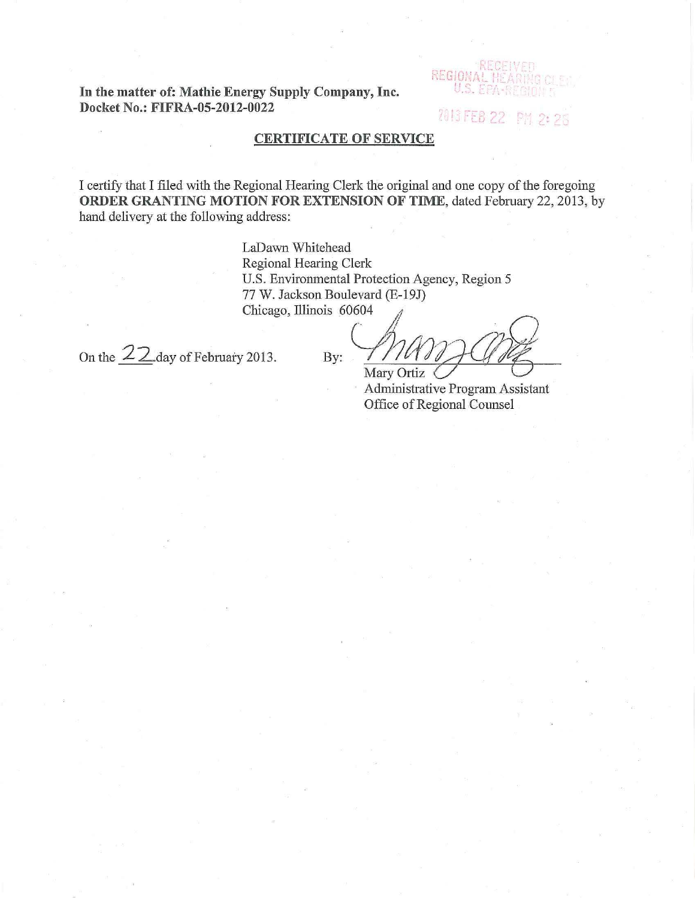**In the matter of: Mathie Energy Supply Company, Inc. Docket** No.: **FIFRA-05-2012-0022** 

REGIO

2013 FEB 22 PM 2:26

# **CERTIFICATE OF SERVICE**

I certify that I filed with the Regional Hearing Clerk the original and one copy of the foregoing **ORDER GRANTING MOTION FOR EXTENSION OF TIME, dated February 22, 2013, by** hand delivery at the following address:

> LaDawn Whitehead Regional Hearing Clerk U.S. Environmental Protection Agency, Region 5 77 W. Jackson Boulevard (E-19J) U.S. Environmental Protection Agency, Region 5<br>77 W. Jackson Boulevard (E-19J)<br>Chicago, Illinois 60604

On the  $22$  day of February 2013. By:

Mary Ortiz < of **Program**<br>Ne Program Assistant

Administrative Program Assistant Office of Regional Counsel